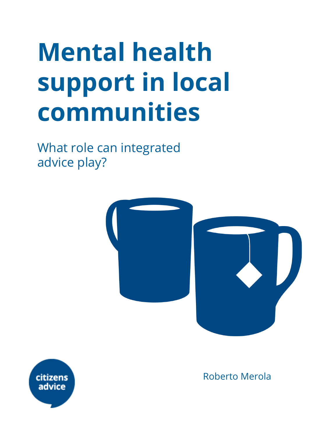# **Mental health support in local communities**

What role can integrated advice play?





Roberto Merola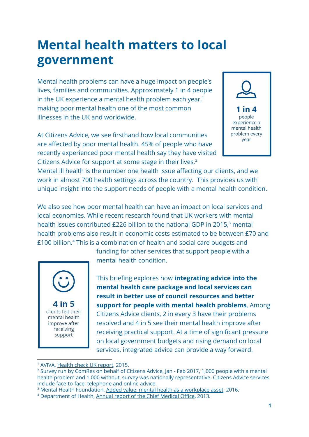# **Mental health matters to local government**

Mental health problems can have a huge impact on people's lives, families and communities. Approximately 1 in 4 people in the UK experience a mental health problem each year, $1$ making poor mental health one of the most common illnesses in the UK and worldwide.

At Citizens Advice, we see firsthand how local communities are affected by poor mental health. 45% of people who have recently experienced poor mental health say they have visited Citizens Advice for support at some stage in their lives.<sup>2</sup>



Mental ill health is the number one health issue affecting our clients, and we work in almost 700 health settings across the country. This provides us with unique insight into the support needs of people with a mental health condition.

We also see how poor mental health can have an impact on local services and local economies. While recent research found that UK workers with mental health issues contributed £226 billion to the national GDP in 2015,<sup>3</sup> mental health problems also result in economic costs estimated to be between £70 and £100 billion.<sup>4</sup> This is a combination of health and social care budgets and



funding for other services that support people with a mental health condition.

This briefing explores how **integrating advice into the mental health care package and local services can result in better use of council resources and better support for people with mental health problems**. Among Citizens Advice clients, 2 in every 3 have their problems resolved and 4 in 5 see their mental health improve after receiving practical support. At a time of significant pressure on local government budgets and rising demand on local services, integrated advice can provide a way forward.

<sup>&</sup>lt;sup>1</sup> AVIVA, [Health](https://www.aviva.co.uk/healthcarezone/document-library/files/he/healthcheckukreport2015.pdf) check UK report, 2015.

<sup>&</sup>lt;sup>2</sup> Survey run by ComRes on behalf of Citizens Advice, Jan - Feb 2017, 1,000 people with a mental health problem and 1,000 without, survey was nationally representative. Citizens Advice services include face-to-face, telephone and online advice.

<sup>&</sup>lt;sup>3</sup> Mental Health Foundation, Added value: mental health as a [workplace](https://www.mentalhealth.org.uk/publications/added-value-mental-health-workplace-asset) asset, 2016.

<sup>4</sup> Department of Health, Annual report of the Chief [Medical](https://www.gov.uk/government/publications/chief-medical-officer-cmo-annual-report-public-mental-health) Office, 2013.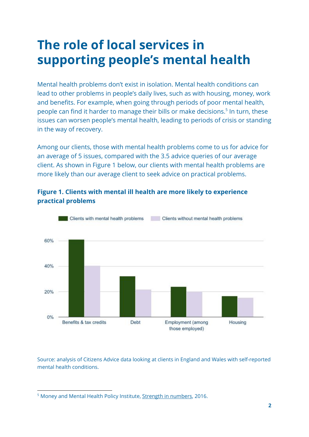# **The role of local services in supporting people's mental health**

Mental health problems don't exist in isolation. Mental health conditions can lead to other problems in people's daily lives, such as with housing, money, work and benefits. For example, when going through periods of poor mental health, people can find it harder to manage their bills or make decisions.<sup>5</sup> In turn, these issues can worsen people's mental health, leading to periods of crisis or standing in the way of recovery.

Among our clients, those with mental health problems come to us for advice for an average of 5 issues, compared with the 3.5 advice queries of our average client. As shown in Figure 1 below, our clients with mental health problems are more likely than our average client to seek advice on practical problems.



#### **Figure 1. Clients with mental ill health are more likely to experience practical problems**

Source: analysis of Citizens Advice data looking at clients in England and Wales with self-reported mental health conditions.

<sup>&</sup>lt;sup>5</sup> Money and Mental Health Policy Institute, Strength in [numbers,](http://www.moneyandmentalhealth.org/strength-in-numbers/) 2016.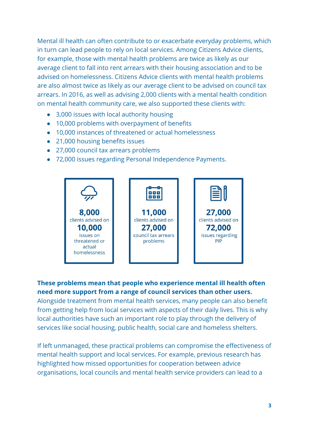Mental ill health can often contribute to or exacerbate everyday problems, which in turn can lead people to rely on local services. Among Citizens Advice clients, for example, those with mental health problems are twice as likely as our average client to fall into rent arrears with their housing association and to be advised on homelessness. Citizens Advice clients with mental health problems are also almost twice as likely as our average client to be advised on council tax arrears. In 2016, as well as advising 2,000 clients with a mental health condition on mental health community care, we also supported these clients with:

- 3,000 issues with local authority housing
- 10,000 problems with overpayment of benefits
- 10,000 instances of threatened or actual homelessness
- 21,000 housing benefits issues
- 27,000 council tax arrears problems
- 72,000 issues regarding Personal Independence Payments.



#### **These problems mean that people who experience mental ill health often need more support from a range of council services than other users.**

Alongside treatment from mental health services, many people can also benefit from getting help from local services with aspects of their daily lives. This is why local authorities have such an important role to play through the delivery of services like social housing, public health, social care and homeless shelters.

If left unmanaged, these practical problems can compromise the effectiveness of mental health support and local services. For example, previous research has highlighted how missed opportunities for cooperation between advice organisations, local councils and mental health service providers can lead to a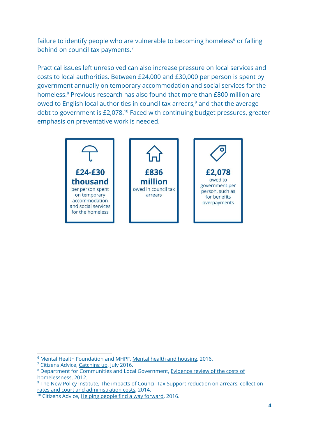failure to identify people who are vulnerable to becoming homeless<sup>6</sup> or falling behind on council tax payments.<sup>7</sup>

Practical issues left unresolved can also increase pressure on local services and costs to local authorities. Between £24,000 and £30,000 per person is spent by government annually on temporary accommodation and social services for the homeless.<sup>8</sup> Previous research has also found that more than £800 million are owed to English local authorities in council tax arrears, $9$  and that the average debt to government is  $£2,078<sup>10</sup>$  Faced with continuing budget pressures, greater emphasis on preventative work is needed.



<sup>6</sup> Mental Health Foundation and MHPF, Mental health and [housing,](https://www.mentalhealth.org.uk/sites/default/files/Mental_Health_and_Housing_report_2016_1.pdf) 2016.

<sup>&</sup>lt;sup>7</sup> Citizens Advice, [Catching](https://www.citizensadvice.org.uk/Global/CitizensAdvice/Debt%20and%20Money%20Publications/Catching%20up%20improving%20council%20tax%20arrears.pdf) up, July 2016.

<sup>8</sup> Department for Communities and Local Government, [Evidence](https://www.gov.uk/government/publications/costs-of-homelessness-evidence-review) review of the costs of [homelessness,](https://www.gov.uk/government/publications/costs-of-homelessness-evidence-review) 2012.

<sup>&</sup>lt;sup>9</sup> The New Policy Institute, The impacts of Council Tax Support [reduction](http://www.npi.org.uk/media/press-releases/council-tax-arrears-and-court-costs-increase-most-areas-cut/) on arrears, collection rates and court and [administration](http://www.npi.org.uk/media/press-releases/council-tax-arrears-and-court-costs-increase-most-areas-cut/) costs, 2014.

<sup>&</sup>lt;sup>10</sup> Citizens Advice, Helping people find a way [forward,](https://www.citizensadvice.org.uk/Global/Public/Impact/Citizens-Advice-Impact-report-2015_16_digital.pdf) 2016.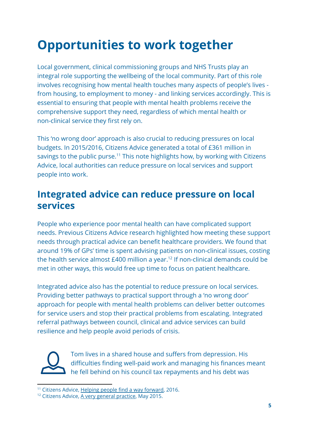# **Opportunities to work together**

Local government, clinical commissioning groups and NHS Trusts play an integral role supporting the wellbeing of the local community. Part of this role involves recognising how mental health touches many aspects of people's lives from housing, to employment to money - and linking services accordingly. This is essential to ensuring that people with mental health problems receive the comprehensive support they need, regardless of which mental health or non-clinical service they first rely on.

This 'no wrong door' approach is also crucial to reducing pressures on local budgets. In 2015/2016, Citizens Advice generated a total of £361 million in savings to the public purse.<sup>11</sup> This note highlights how, by working with Citizens Advice, local authorities can reduce pressure on local services and support people into work.

### **Integrated advice can reduce pressure on local services**

People who experience poor mental health can have complicated support needs. Previous Citizens Advice research highlighted how meeting these support needs through practical advice can benefit healthcare providers. We found that around 19% of GPs' time is spent advising patients on non-clinical issues, costing the health service almost  $£400$  million a year.<sup>12</sup> If non-clinical demands could be met in other ways, this would free up time to focus on patient healthcare.

Integrated advice also has the potential to reduce pressure on local services. Providing better pathways to practical support through a 'no wrong door' approach for people with mental health problems can deliver better outcomes for service users and stop their practical problems from escalating. Integrated referral pathways between council, clinical and advice services can build resilience and help people avoid periods of crisis.



Tom lives in a shared house and suffers from depression. His difficulties finding well-paid work and managing his finances meant he fell behind on his council tax repayments and his debt was

<sup>&</sup>lt;sup>11</sup> Citizens Advice, Helping people find a way [forward,](https://www.citizensadvice.org.uk/Global/Public/Impact/Citizens-Advice-Impact-report-2015_16_digital.pdf) 2016.

<sup>&</sup>lt;sup>12</sup> Citizens Advice, A very general [practice,](https://www.citizensadvice.org.uk/Global/CitizensAdvice/Public%20services%20publications/CitizensAdvice_AVeryGeneralPractice_May2015.pdf) May 2015.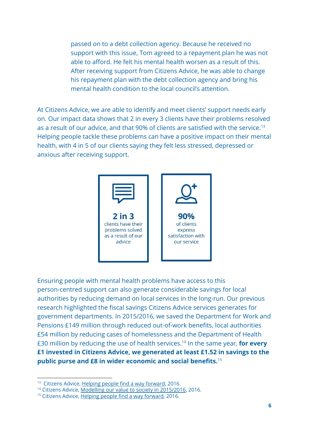passed on to a debt collection agency. Because he received no support with this issue, Tom agreed to a repayment plan he was not able to afford. He felt his mental health worsen as a result of this. After receiving support from Citizens Advice, he was able to change his repayment plan with the debt collection agency and bring his mental health condition to the local council's attention.

At Citizens Advice, we are able to identify and meet clients' support needs early on. Our impact data shows that 2 in every 3 clients have their problems resolved as a result of our advice, and that 90% of clients are satisfied with the service.<sup>13</sup> Helping people tackle these problems can have a positive impact on their mental health, with 4 in 5 of our clients saying they felt less stressed, depressed or anxious after receiving support.



Ensuring people with mental health problems have access to this person-centred support can also generate considerable savings for local authorities by reducing demand on local services in the long-run. Our previous research highlighted the fiscal savings Citizens Advice services generates for government departments. In 2015/2016, we saved the Department for Work and Pensions £149 million through reduced out-of-work benefits, local authorities £54 million by reducing cases of homelessness and the Department of Health £30 million by reducing the use of health services. In the same year, **for every** <sup>14</sup> **£1 invested in Citizens Advice, we generated at least £1.52 in savings to the public purse and £8 in wider economic and social benefits.**<sup>15</sup>

<sup>&</sup>lt;sup>13</sup> Citizens Advice, Helping people find a way [forward,](https://www.citizensadvice.org.uk/Global/Public/Impact/Citizens-Advice-Impact-report-2015_16_digital.pdf) 2016.

<sup>&</sup>lt;sup>14</sup> Citizens Advice, Modelling our value to society in [2015/2016,](https://www.citizensadvice.org.uk/Global/Public/Impact/ModellingthevalueoftheCitizensAdviceservicein201516.pdf) 2016.

<sup>&</sup>lt;sup>15</sup> Citizens Advice, Helping people find a way [forward,](https://www.citizensadvice.org.uk/Global/Public/Impact/Citizens-Advice-Impact-report-2015_16_digital.pdf) 2016.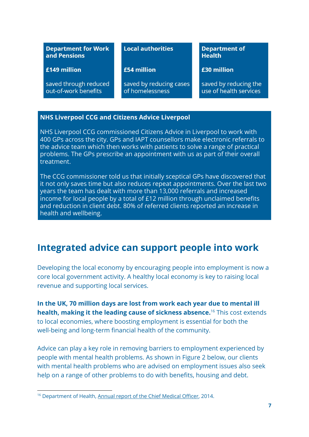| <b>Department for Work</b><br>and Pensions    | <b>Local authorities</b>                   | <b>Department of</b><br><b>Health</b>           |
|-----------------------------------------------|--------------------------------------------|-------------------------------------------------|
| £149 million                                  | £54 million                                | £30 million                                     |
| saved through reduced<br>out-of-work benefits | saved by reducing cases<br>of homelessness | saved by reducing the<br>use of health services |

#### **NHS Liverpool CCG and Citizens Advice Liverpool**

NHS Liverpool CCG commissioned Citizens Advice in Liverpool to work with 400 GPs across the city. GPs and IAPT counsellors make electronic referrals to the advice team which then works with patients to solve a range of practical problems. The GPs prescribe an appointment with us as part of their overall treatment.

The CCG commissioner told us that initially sceptical GPs have discovered that it not only saves time but also reduces repeat appointments. Over the last two years the team has dealt with more than 13,000 referrals and increased income for local people by a total of £12 million through unclaimed benefits and reduction in client debt. 80% of referred clients reported an increase in health and wellbeing.

### **Integrated advice can support people into work**

Developing the local economy by encouraging people into employment is now a core local government activity. A healthy local economy is key to raising local revenue and supporting local services.

**In the UK, 70 million days are lost from work each year due to mental ill health, making it the leading cause of sickness absence.** <sup>16</sup> This cost extends to local economies, where boosting employment is essential for both the well-being and long-term financial health of the community.

Advice can play a key role in removing barriers to employment experienced by people with mental health problems. As shown in Figure 2 below, our clients with mental health problems who are advised on employment issues also seek help on a range of other problems to do with benefits, housing and debt.

<sup>&</sup>lt;sup>16</sup> Department of Health, Annual report of the Chief [Medical](https://www.gov.uk/government/publications/chief-medical-officer-cmo-annual-report-public-mental-health) Officer, 2014.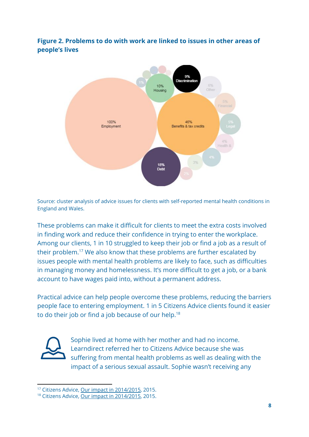#### **Figure 2. Problems to do with work are linked to issues in other areas of people's lives**



Source: cluster analysis of advice issues for clients with self-reported mental health conditions in England and Wales.

These problems can make it difficult for clients to meet the extra costs involved in finding work and reduce their confidence in trying to enter the workplace. Among our clients, 1 in 10 struggled to keep their job or find a job as a result of their problem.<sup>17</sup> We also know that these problems are further escalated by issues people with mental health problems are likely to face, such as difficulties in managing money and homelessness. It's more difficult to get a job, or a bank account to have wages paid into, without a permanent address.

Practical advice can help people overcome these problems, reducing the barriers people face to entering employment. 1 in 5 Citizens Advice clients found it easier to do their job or find a job because of our help.<sup>18</sup>



Sophie lived at home with her mother and had no income. Learndirect referred her to Citizens Advice because she was suffering from mental health problems as well as dealing with the impact of a serious sexual assault. Sophie wasn't receiving any

<sup>&</sup>lt;sup>17</sup> Citizens Advice, Our impact in [2014/2015,](https://www.citizensadvice.org.uk/Global/Public/Impact/Citizens%20Advice_Impact%20Report_2015_Digital.pdf) 2015.

<sup>&</sup>lt;sup>18</sup> Citizens Advice, Our impact in [2014/2015,](https://www.citizensadvice.org.uk/Global/Public/Impact/Citizens%20Advice_Impact%20Report_2015_Digital.pdf) 2015.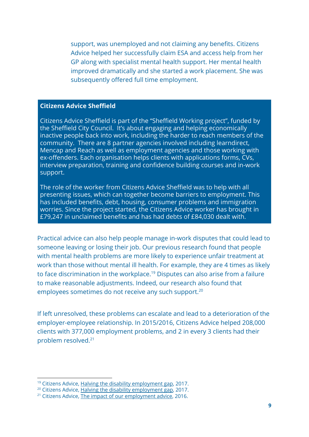support, was unemployed and not claiming any benefits. Citizens Advice helped her successfully claim ESA and access help from her GP along with specialist mental health support. Her mental health improved dramatically and she started a work placement. She was subsequently offered full time employment.

#### **Citizens Advice Sheffield**

Citizens Advice Sheffield is part of the "Sheffield Working project", funded by the Sheffield City Council. It's about engaging and helping economically inactive people back into work, including the harder to reach members of the community. There are 8 partner agencies involved including learndirect, Mencap and Reach as well as employment agencies and those working with ex-offenders. Each organisation helps clients with applications forms, CVs, interview preparation, training and confidence building courses and in-work support.

The role of the worker from Citizens Advice Sheffield was to help with all presenting issues, which can together become barriers to employment. This has included benefits, debt, housing, consumer problems and immigration worries. Since the project started, the Citizens Advice worker has brought in £79,247 in unclaimed benefits and has had debts of £84,030 dealt with.

Practical advice can also help people manage in-work disputes that could lead to someone leaving or losing their job. Our previous research found that people with mental health problems are more likely to experience unfair treatment at work than those without mental ill health. For example, they are 4 times as likely to face discrimination in the workplace.<sup>19</sup> Disputes can also arise from a failure to make reasonable adjustments. Indeed, our research also found that employees sometimes do not receive any such support.<sup>20</sup>

If left unresolved, these problems can escalate and lead to a deterioration of the employer-employee relationship. In 2015/2016, Citizens Advice helped 208,000 clients with 377,000 employment problems, and 2 in every 3 clients had their problem resolved.<sup>21</sup>

<sup>&</sup>lt;sup>19</sup> Citizens Advice, Halving the disability [employment](https://www.citizensadvice.org.uk/Global/CitizensAdvice/Families%20Publications/Halvingthedisabilityemploymentgap.pdf) gap, 2017.

<sup>&</sup>lt;sup>20</sup> Citizens Advice, Halving the disability [employment](https://www.citizensadvice.org.uk/Global/CitizensAdvice/Families%20Publications/Halvingthedisabilityemploymentgap.pdf) gap, 2017.

<sup>&</sup>lt;sup>21</sup> Citizens Advice, The impact of our [employment](https://www.citizensadvice.org.uk/Global/Public/Impact/Employment%20advice.pdf) advice, 2016.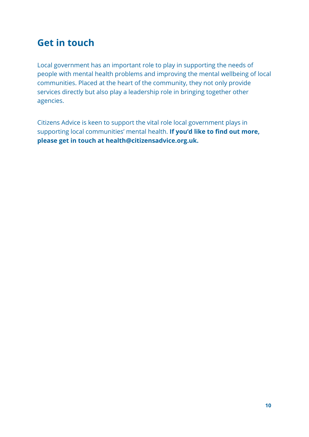### **Get in touch**

Local government has an important role to play in supporting the needs of people with mental health problems and improving the mental wellbeing of local communities. Placed at the heart of the community, they not only provide services directly but also play a leadership role in bringing together other agencies.

Citizens Advice is keen to support the vital role local government plays in supporting local communities' mental health. **If you'd like to find out more, please get in touch at health@citizensadvice.org.uk.**